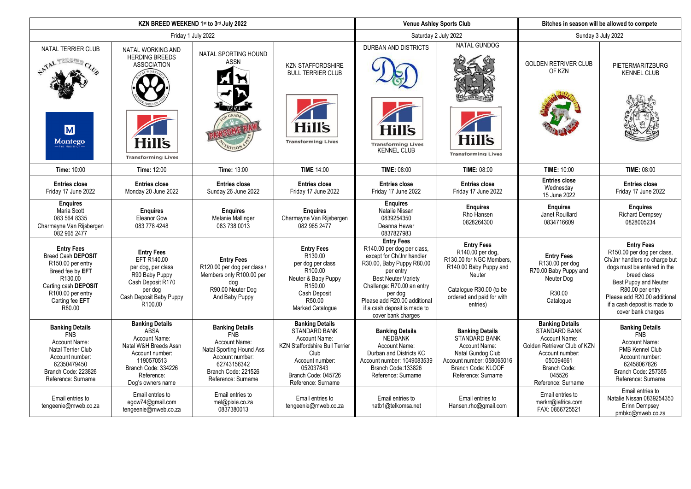|                                                                                                                                                                              |                                                                                                                                                                            | KZN BREED WEEKEND 1st to 3rd July 2022                                                                                                                           |                                                                                                                                                                                               | <b>Venue Ashley Sports Club</b>                                                                                                                                                                                                                                                     |                                                                                                                                                                           | Bitches in season will be allowed to compete                                                                                                                                    |                                                                                                                                                                                                                                                                   |
|------------------------------------------------------------------------------------------------------------------------------------------------------------------------------|----------------------------------------------------------------------------------------------------------------------------------------------------------------------------|------------------------------------------------------------------------------------------------------------------------------------------------------------------|-----------------------------------------------------------------------------------------------------------------------------------------------------------------------------------------------|-------------------------------------------------------------------------------------------------------------------------------------------------------------------------------------------------------------------------------------------------------------------------------------|---------------------------------------------------------------------------------------------------------------------------------------------------------------------------|---------------------------------------------------------------------------------------------------------------------------------------------------------------------------------|-------------------------------------------------------------------------------------------------------------------------------------------------------------------------------------------------------------------------------------------------------------------|
| Friday 1 July 2022                                                                                                                                                           |                                                                                                                                                                            |                                                                                                                                                                  |                                                                                                                                                                                               | Saturday 2 July 2022                                                                                                                                                                                                                                                                |                                                                                                                                                                           | Sunday 3 July 2022                                                                                                                                                              |                                                                                                                                                                                                                                                                   |
| NATAL TERRIER CLUB<br>ANAL TERRIER CLUB<br>$\overline{\mathbf{M}}$<br><b>Montego</b>                                                                                         | NATAL WORKING AND<br><b>HERDING BREEDS</b><br><b>ASSOCIATION</b><br>Hill's<br><b>Transforming Lives</b>                                                                    | NATAL SPORTING HOUND<br><b>ASSN</b>                                                                                                                              | <b>KZN STAFFORDSHIRE</b><br><b>BULL TERRIER CLUB</b><br><b>Hill's</b><br><b>Transforming Lives</b>                                                                                            | DURBAN AND DISTRICTS<br><b>Hill's</b><br><b>Transforming Lives</b><br><b>KENNEL CLUB</b>                                                                                                                                                                                            | <b>NATAL GUNDOG</b><br><b>Hill's</b><br><b>Transforming Lives</b>                                                                                                         | <b>GOLDEN RETRIVER CLUB</b><br>OF KZN                                                                                                                                           | <b>PIETERMARITZBURG</b><br><b>KENNEL CLUB</b>                                                                                                                                                                                                                     |
| Time: 10:00                                                                                                                                                                  | Time: 12:00                                                                                                                                                                | <b>Time: 13:00</b>                                                                                                                                               | <b>TIME 14:00</b>                                                                                                                                                                             | <b>TIME: 08:00</b>                                                                                                                                                                                                                                                                  | <b>TIME: 08:00</b>                                                                                                                                                        | <b>TIME: 10:00</b>                                                                                                                                                              | <b>TIME: 08:00</b>                                                                                                                                                                                                                                                |
| <b>Entries close</b><br>Friday 17 June 2022                                                                                                                                  | <b>Entries close</b><br>Monday 20 June 2022                                                                                                                                | <b>Entries close</b><br>Sunday 26 June 2022                                                                                                                      | <b>Entries close</b><br>Friday 17 June 2022                                                                                                                                                   | <b>Entries close</b><br>Friday 17 June 2022                                                                                                                                                                                                                                         | <b>Entries close</b><br>Friday 17 June 2022                                                                                                                               | <b>Entries close</b><br>Wednesday<br>15 June 2022                                                                                                                               | <b>Entries close</b><br>Friday 17 June 2022                                                                                                                                                                                                                       |
| <b>Enguires</b><br>Maria Scott<br>083 564 8335<br>Charmayne Van Rijsbergen<br>082 965 2477                                                                                   | <b>Enquires</b><br>Eleanor Gow<br>083 778 4248                                                                                                                             | <b>Enquires</b><br>Melanie Mallinger<br>083 738 0013                                                                                                             | <b>Enguires</b><br>Charmayne Van Rijsbergen<br>082 965 2477                                                                                                                                   | <b>Enquires</b><br>Natalie Nissan<br>0839254350<br>Deanna Hewer<br>0837827983                                                                                                                                                                                                       | <b>Enguires</b><br>Rho Hansen<br>0828264300                                                                                                                               | <b>Enquires</b><br>Janet Rouillard<br>0834716609                                                                                                                                | <b>Enquires</b><br><b>Richard Dempsey</b><br>0828005234                                                                                                                                                                                                           |
| <b>Entry Fees</b><br><b>Breed Cash DEPOSIT</b><br>R150.00 per entry<br>Breed fee by EFT<br>R130.00<br>Carting cash DEPOSIT<br>R100.00 per entry<br>Carting fee EFT<br>R80.00 | <b>Entry Fees</b><br>EFT R140.00<br>per dog, per class<br>R90 Baby Puppy<br>Cash Deposit R170<br>per dog<br>Cash Deposit Baby Puppy<br>R100.00                             | <b>Entry Fees</b><br>R120.00 per dog per class /<br>Members only R100.00 per<br>dog<br>R90.00 Neuter Dog<br>And Baby Puppy                                       | <b>Entry Fees</b><br>R130.00<br>per dog per class<br>R100.00<br>Neuter & Baby Puppy<br>R150.00<br>Cash Deposit<br>R50.00<br>Marked Catalogue                                                  | <b>Entry Fees</b><br>R140.00 per dog per class,<br>except for Ch/Jnr handler<br>R30.00, Baby Puppy R80.00<br>per entry<br><b>Best Neuter Variety</b><br>Challenge: R70.00 an entry<br>per dog<br>Please add R20.00 additional<br>if a cash deposit is made to<br>cover bank charges | <b>Entry Fees</b><br>R140.00 per dog,<br>R130.00 for NGC Members,<br>R140.00 Baby Puppy and<br>Neuter<br>Catalogue R30.00 (to be<br>ordered and paid for with<br>entries) | <b>Entry Fees</b><br>R130.00 per dog<br>R70.00 Baby Puppy and<br>Neuter Dog<br>R30.00<br>Catalogue                                                                              | <b>Entry Fees</b><br>R150.00 per dog per class.<br>Ch/Jnr handlers no charge but<br>dogs must be entered in the<br>breed class<br>Best Puppy and Neuter<br>R80.00 per entry<br>Please add R20.00 additional<br>if a cash deposit is made to<br>cover bank charges |
| <b>Banking Details</b><br><b>FNB</b><br>Account Name:<br><b>Natal Terrier Club</b><br>Account number:<br>62350479450<br>Branch Code: 223826<br>Reference: Surname            | <b>Banking Details</b><br><b>ABSA</b><br>Account Name:<br>Natal W&H Breeds Assn<br>Account number:<br>1190570513<br>Branch Code: 334226<br>Reference:<br>Dog's owners name | <b>Banking Details</b><br><b>FNB</b><br>Account Name:<br>Natal Sporting Hound Ass<br>Account number:<br>62743156342<br>Branch Code: 221526<br>Reference: Surname | <b>Banking Details</b><br><b>STANDARD BANK</b><br>Account Name:<br><b>KZN Staffordshire Bull Terrier</b><br>Club<br>Account number:<br>052037843<br>Branch Code: 045726<br>Reference: Surname | <b>Banking Details</b><br>NEDBANK<br>Account Name:<br>Durban and Districts KC<br>Account number: 1049083539<br>Branch Code: 133826<br>Reference: Surname                                                                                                                            | <b>Banking Details</b><br>STANDARD BANK<br>Account Name:<br>Natal Gundog Club<br>Account number: 058065016<br>Branch Code: KLOOF<br>Reference: Surname                    | <b>Banking Details</b><br><b>STANDARD BANK</b><br>Account Name:<br>Golden Retriever Club of KZN<br>Account number:<br>050094661<br>Branch Code:<br>045526<br>Reference: Surname | <b>Banking Details</b><br><b>FNB</b><br>Account Name:<br><b>PMB Kennel Club</b><br>Account number:<br>62458067826<br>Branch Code: 257355<br>Reference: Surname                                                                                                    |
| Email entries to<br>tengeenie@mweb.co.za                                                                                                                                     | Email entries to<br>egow74@gmail.com<br>tengeenie@mweb.co.za                                                                                                               | Email entries to<br>mel@pixie.co.za<br>0837380013                                                                                                                | Email entries to<br>tengeenie@mweb.co.za                                                                                                                                                      | Email entries to<br>natb1@telkomsa.net                                                                                                                                                                                                                                              | Email entries to<br>Hansen.rho@gmail.com                                                                                                                                  | Email entries to<br>markrr@iafrica.com<br>FAX: 0866725521                                                                                                                       | Email entries to<br>Natalie Nissan 0839254350<br>Erinn Dempsey<br>pmbkc@mweb.co.za                                                                                                                                                                                |